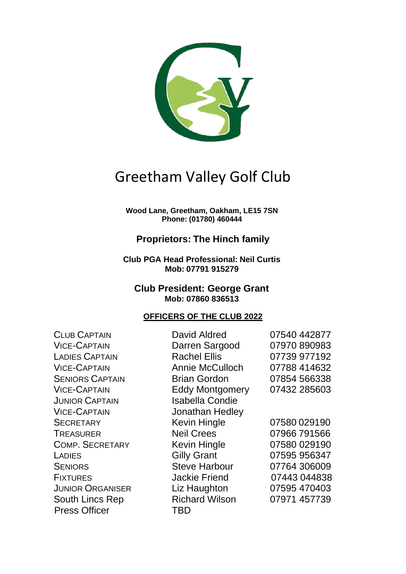

# Greetham Valley Golf Club

**Wood Lane, Greetham, Oakham, LE15 7SN Phone: (01780) 460444**

## **Proprietors: The Hinch family**

**Club PGA Head Professional: Neil Curtis Mob: 07791 915279**

#### **Club President: George Grant Mob: 07860 836513**

#### **OFFICERS OF THE CLUB 2022**

| <b>CLUB CAPTAIN</b>     | David Aldred           | 07540 442877 |
|-------------------------|------------------------|--------------|
| <b>VICE-CAPTAIN</b>     | Darren Sargood         | 07970 890983 |
| <b>LADIES CAPTAIN</b>   | <b>Rachel Ellis</b>    | 07739 977192 |
| <b>VICE-CAPTAIN</b>     | <b>Annie McCulloch</b> | 07788 414632 |
| <b>SENIORS CAPTAIN</b>  | <b>Brian Gordon</b>    | 07854 566338 |
| <b>VICE-CAPTAIN</b>     | <b>Eddy Montgomery</b> | 07432 285603 |
| <b>JUNIOR CAPTAIN</b>   | <b>Isabella Condie</b> |              |
| <b>VICE-CAPTAIN</b>     | Jonathan Hedley        |              |
| <b>SECRETARY</b>        | <b>Kevin Hingle</b>    | 07580 029190 |
| <b>TREASURER</b>        | <b>Neil Crees</b>      | 07966791566  |
| <b>COMP. SECRETARY</b>  | Kevin Hingle           | 07580 029190 |
| LADIES                  | <b>Gilly Grant</b>     | 07595 956347 |
| <b>SENIORS</b>          | <b>Steve Harbour</b>   | 07764 306009 |
| <b>FIXTURES</b>         | <b>Jackie Friend</b>   | 07443 044838 |
| <b>JUNIOR ORGANISER</b> | Liz Haughton           | 07595 470403 |
| South Lincs Rep         | <b>Richard Wilson</b>  | 07971 457739 |
| <b>Press Officer</b>    | TBD                    |              |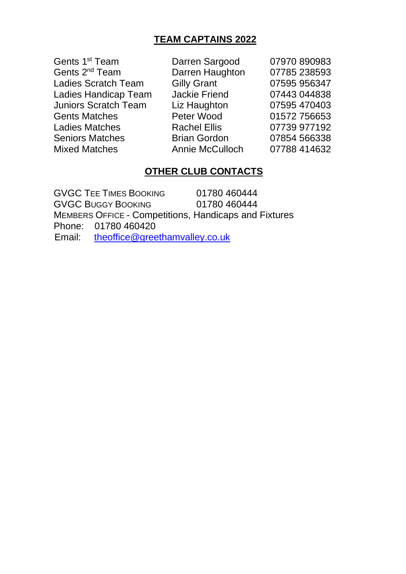## **TEAM CAPTAINS 2022**

Gents 1<sup>st</sup> Team Gents 2<sup>nd</sup> Team Ladies Scratch Team Gilly Grant 07595 956347 Ladies Handicap Team Jackie Friend 07443 044838 Juniors Scratch Team Liz Haughton 07595 470403 Gents Matches **Peter Wood** 01572 756653 Ladies Matches **Rachel Ellis** 07739 977192 Seniors Matches **Brian Gordon** 07854 566338 Mixed Matches Annie McCulloch 07788 414632

Darren Sargood 07970 890983 Darren Haughton 07785 238593

### **OTHER CLUB CONTACTS**

GVGC TEE TIMES BOOKING 01780 460444 GVGC BUGGY BOOKING 01780 460444 MEMBERS OFFICE - Competitions, Handicaps and Fixtures Phone: 01780 460420 Email: [theoffice@greethamvalley.co.uk](mailto:theoffice@greethamvalley.co.uk)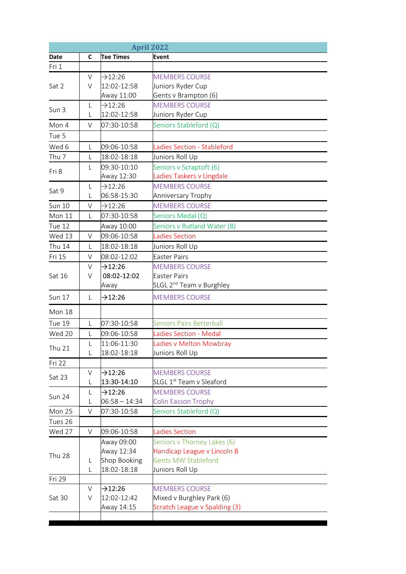|                  |        |                  | <b>April 2022</b>                    |
|------------------|--------|------------------|--------------------------------------|
| Date             | C      | <b>Tee Times</b> | <b>Event</b>                         |
| Fri 1            |        |                  |                                      |
|                  | $\vee$ | $-12:26$         | <b>MEMBERS COURSE</b>                |
| Sat 2            | $\vee$ | 12:02-12:58      | Juniors Ryder Cup                    |
|                  |        | Away 11:00       | Gents v Brampton (6)                 |
|                  | L      | $-12:26$         | <b>MEMBERS COURSE</b>                |
| Sun 3            | L      | 12:02-12:58      | Juniors Ryder Cup                    |
| Mon 4            | $\vee$ | 07:30-10:58      | Seniors Stableford (Q)               |
| Tue 5            |        |                  |                                      |
| Wed 6            | L      | 09:06-10:58      | Ladies Section - Stableford          |
| Thu <sub>7</sub> | L      | 18:02-18:18      | Juniors Roll Up                      |
|                  | L      | 09:30-10:10      | Seniors v Scraptoft (6)              |
| Fri 8            |        | Away 12:30       | Ladies Taskers v Lingdale            |
|                  | L      | $-12:26$         | <b>MEMBERS COURSE</b>                |
| Sat 9            | L      | 06:58-15:30      | Anniversary Trophy                   |
| <b>Sun 10</b>    | V      | $-12:26$         | <b>MEMBERS COURSE</b>                |
| Mon 11           | L      | 07:30-10:58      | Seniors Medal (Q)                    |
| Tue 12           |        | Away 10:00       | Seniors v Rutland Water (8)          |
| Wed 13           | V      | 09:06-10:58      | <b>Ladies Section</b>                |
| <b>Thu 14</b>    | L      | 18:02-18:18      | Juniors Roll Up                      |
| Fri 15           | $\vee$ | 08:02-12:02      | <b>Easter Pairs</b>                  |
|                  | V      | $-12:26$         | <b>MEMBERS COURSE</b>                |
| Sat 16           | V      | 08:02-12:02      | <b>Easter Pairs</b>                  |
|                  |        | Away             | SLGL 2 <sup>nd</sup> Team v Burghley |
| <b>Sun 17</b>    | L      | $-12:26$         | <b>MEMBERS COURSE</b>                |
| Mon 18           |        |                  |                                      |
|                  |        |                  |                                      |
| Tue 19           | L      | 07:30-10:58      | <b>Seniors Pairs Betterball</b>      |
| Wed 20           | L      | 09:06-10:58      | Ladies Section - Medal               |
| <b>Thu 21</b>    |        | 11:06-11:30      | Ladies y Melton Mowbray              |
|                  | L      | 18:02-18:18      | Juniors Roll Up                      |
| Fri 22           |        |                  |                                      |
| Sat 23           | V      | $-12:26$         | <b>MEMBERS COURSE</b>                |
|                  | L      | 13:30-14:10      | SLGL 1 <sup>st</sup> Team v Sleaford |
| Sun 24           | L      | $-12:26$         | <b>MEMBERS COURSE</b>                |
|                  | L      | $06:58 - 14:34$  | <b>Colin Easson Trophy</b>           |
| Mon 25           | V      | 07:30-10:58      | Seniors Stableford (Q)               |
| Tues 26          |        |                  |                                      |
| Wed 27           | V      | 09:06-10:58      | <b>Ladies Section</b>                |
|                  |        | Away 09:00       | Seniors v Thorney Lakes (6)          |
| <b>Thu 28</b>    |        | Away 12:34       | Handicap League v Lincoln B          |
|                  | L      | Shop Booking     | <b>Gents MW Stableford</b>           |
|                  | L      | 18:02-18:18      | Juniors Roll Up                      |
| Fri 29           |        |                  |                                      |
|                  | $\vee$ | $-12:26$         | <b>MEMBERS COURSE</b>                |
| Sat 30           | V      | 12:02-12:42      | Mixed v Burghley Park (6)            |
|                  |        | Away 14:15       | Scratch League v Spalding (3)        |
|                  |        |                  |                                      |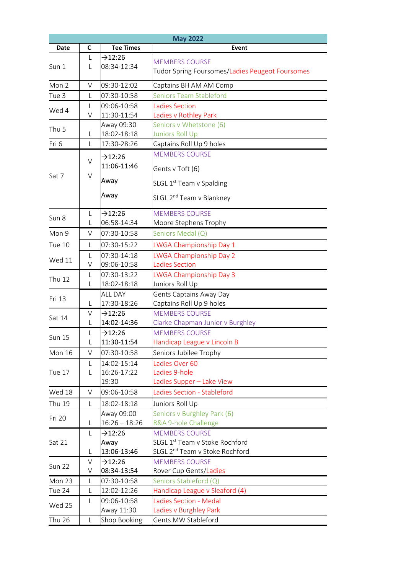|                  |                   |                          | <b>May 2022</b>                                                          |
|------------------|-------------------|--------------------------|--------------------------------------------------------------------------|
| Date             | C                 | <b>Tee Times</b>         | Event                                                                    |
| Sun 1            | L<br>$\mathbf{L}$ | $-12:26$<br>08:34-12:34  | <b>MEMBERS COURSE</b><br>Tudor Spring Foursomes/Ladies Peugeot Foursomes |
| Mon 2            | $\vee$            | 09:30-12:02              | Captains BH AM AM Comp                                                   |
| Tue 3            | L                 | 07:30-10:58              | <b>Seniors Team Stableford</b>                                           |
|                  | L                 | 09:06-10:58              | <b>Ladies Section</b>                                                    |
| Wed 4            | V                 | 11:30-11:54              | Ladies v Rothley Park                                                    |
| Thu <sub>5</sub> |                   | Away 09:30               | Seniors v Whetstone (6)                                                  |
|                  | L                 | 18:02-18:18              | Juniors Roll Up                                                          |
| Fri 6            | $\mathsf{L}$      | 17:30-28:26              | Captains Roll Up 9 holes                                                 |
|                  |                   | 712:26                   | <b>MEMBERS COURSE</b>                                                    |
|                  | $\vee$            | 11:06-11:46              | Gents v Toft (6)                                                         |
| Sat 7            | $\vee$            | Away                     | SLGL 1 <sup>st</sup> Team v Spalding                                     |
|                  |                   | Away                     | SLGL 2 <sup>nd</sup> Team v Blankney                                     |
| Sun 8            | L                 | $-212:26$                | <b>MEMBERS COURSE</b>                                                    |
|                  | L                 | 06:58-14:34              | Moore Stephens Trophy                                                    |
| Mon 9            | V                 | 07:30-10:58              | Seniors Medal (Q)                                                        |
| Tue 10           | L                 | 07:30-15:22              | LWGA Championship Day 1                                                  |
| Wed 11           | L                 | 07:30-14:18              | LWGA Championship Day 2                                                  |
|                  | V                 | 09:06-10:58              | <b>Ladies Section</b>                                                    |
| <b>Thu 12</b>    | L                 | 07:30-13:22              | LWGA Championship Day 3                                                  |
|                  | L                 | 18:02-18:18              | Juniors Roll Up                                                          |
| Fri 13           |                   | <b>ALL DAY</b>           | <b>Gents Captains Away Day</b>                                           |
|                  | L                 | 17:30-18:26              | Captains Roll Up 9 holes                                                 |
| Sat 14           | V                 | $\rightarrow$ 12:26      | <b>MEMBERS COURSE</b>                                                    |
|                  | L                 | 14:02-14:36              | Clarke Chapman Junior v Burghley                                         |
| <b>Sun 15</b>    | L<br>L            | $-312:26$<br>11:30-11:54 | <b>MEMBERS COURSE</b><br>Handicap League v Lincoln B                     |
| Mon 16           | V                 | 07:30-10:58              | Seniors Jubilee Trophy                                                   |
|                  | L                 | 14:02-15:14              | Ladies Over 60                                                           |
| Tue 17           | L                 | 16:26-17:22              | Ladies 9-hole                                                            |
|                  |                   | 19:30                    | Ladies Supper - Lake View                                                |
| Wed 18           | V                 | 09:06-10:58              | Ladies Section - Stableford                                              |
| <b>Thu 19</b>    | L                 | 18:02-18:18              | Juniors Roll Up                                                          |
|                  |                   | Away 09:00               | Seniors v Burghley Park (6)                                              |
| Fri 20           | L                 | $16:26 - 18:26$          | R&A 9-hole Challenge                                                     |
|                  | L                 | $\rightarrow$ 12:26      | <b>MEMBERS COURSE</b>                                                    |
| Sat 21           |                   | Away                     | SLGL 1 <sup>st</sup> Team v Stoke Rochford                               |
|                  | L                 | 13:06-13:46              | SLGL 2 <sup>nd</sup> Team v Stoke Rochford                               |
| <b>Sun 22</b>    | $\vee$            | $\rightarrow$ 12:26      | <b>MEMBERS COURSE</b>                                                    |
|                  | V                 | 08:34-13:54              | Rover Cup Gents/Ladies                                                   |
| Mon 23           | L                 | 07:30-10:58              | Seniors Stableford (Q)                                                   |
| Tue 24           | L                 | 12:02-12:26              | Handicap League v Sleaford (4)                                           |
| Wed 25           | L                 | 09:06-10:58              | <b>Ladies Section - Medal</b>                                            |
|                  |                   | Away 11:30               | Ladies v Burghley Park                                                   |
| <b>Thu 26</b>    | L                 | Shop Booking             | Gents MW Stableford                                                      |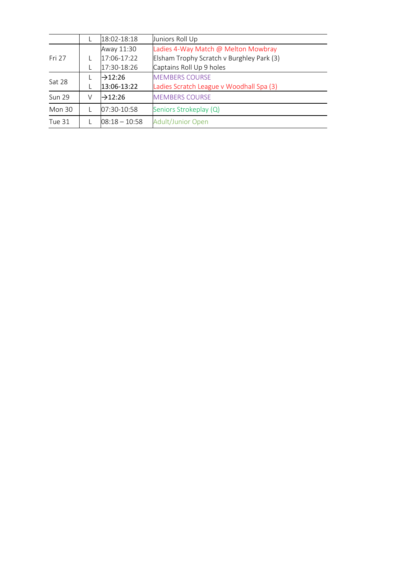|               |   | 18:02-18:18         | Juniors Roll Up                           |
|---------------|---|---------------------|-------------------------------------------|
|               |   | Away 11:30          | Ladies 4-Way Match @ Melton Mowbray       |
| Fri 27        |   | 17:06-17:22         | Elsham Trophy Scratch v Burghley Park (3) |
|               |   | 17:30-18:26         | Captains Roll Up 9 holes                  |
| Sat 28        |   | $\rightarrow$ 12:26 | <b>MEMBERS COURSE</b>                     |
|               |   | 13:06-13:22         | Ladies Scratch League v Woodhall Spa (3)  |
| <b>Sun 29</b> | V | $\rightarrow$ 12:26 | <b>MEMBERS COURSE</b>                     |
| <b>Mon 30</b> |   | 07:30-10:58         | Seniors Strokeplay (Q)                    |
| <b>Tue 31</b> |   | $08:18 - 10:58$     | <b>Adult/Junior Open</b>                  |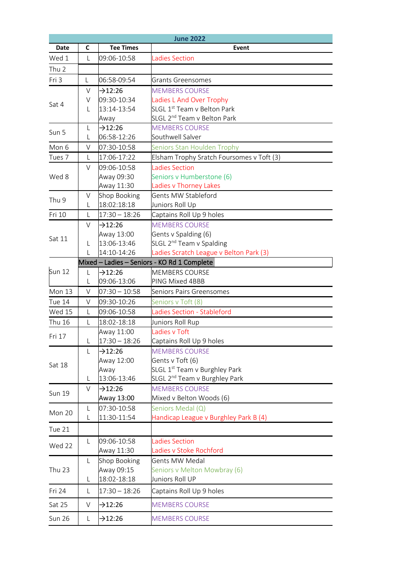|                  |             |                                    | <b>June 2022</b>                            |
|------------------|-------------|------------------------------------|---------------------------------------------|
| Date             | C           | <b>Tee Times</b>                   | Event                                       |
| Wed 1            | L           | 09:06-10:58                        | <b>Ladies Section</b>                       |
| Thu <sub>2</sub> |             |                                    |                                             |
| Fri 3            | L           | 06:58-09:54                        | <b>Grants Greensomes</b>                    |
|                  | $\vee$      | $-12:26$                           | <b>MEMBERS COURSE</b>                       |
|                  | V           | 09:30-10:34                        | Ladies L And Over Trophy                    |
| Sat 4            | L           | 13:14-13:54                        | SLGL 1 <sup>st</sup> Team v Belton Park     |
|                  |             | Away                               | SLGL 2 <sup>nd</sup> Team v Belton Park     |
| Sun 5            | L           | $-12:26$                           | <b>MEMBERS COURSE</b>                       |
|                  | L           | 06:58-12:26                        | Southwell Salver                            |
| Mon 6            | V           | 07:30-10:58                        | Seniors Stan Houlden Trophy                 |
| Tues 7           | L           | 17:06-17:22                        | Elsham Trophy Sratch Foursomes v Toft (3)   |
|                  | $\vee$      | 09:06-10:58                        | <b>Ladies Section</b>                       |
| Wed 8            |             | Away 09:30                         | Seniors v Humberstone (6)                   |
|                  |             | Away 11:30                         | Ladies v Thorney Lakes                      |
| Thu 9            | V           | Shop Booking                       | Gents MW Stableford                         |
|                  | L           | 18:02:18:18                        | Juniors Roll Up                             |
| Fri 10           | L           | $17:30 - 18:26$                    | Captains Roll Up 9 holes                    |
|                  | V           | $-12:26$                           | <b>MEMBERS COURSE</b>                       |
| Sat 11           |             | Away 13:00                         | Gents v Spalding (6)                        |
|                  | L           | 13:06-13:46                        | SLGL 2 <sup>nd</sup> Team v Spalding        |
|                  | L           | 14:10-14:26                        | Ladies Scratch League v Belton Park (3)     |
|                  |             |                                    | Mixed - Ladies - Seniors - KO Rd 1 Complete |
| <b>Sun 12</b>    | L           | $\rightarrow$ 12:26<br>09:06-13:06 | <b>MEMBERS COURSE</b><br>PING Mixed 4BBB    |
| Mon 13           | L<br>$\vee$ | $07:30 - 10:58$                    | Seniors Pairs Greensomes                    |
| Tue 14           | V           | 09:30-10:26                        | Seniors v Toft (8)                          |
| Wed 15           | L           | 09:06-10:58                        | Ladies Section - Stableford                 |
| <b>Thu 16</b>    | L           | 18:02-18:18                        | Juniors Roll Rup                            |
|                  |             | Away 11:00                         | Ladies v Toft                               |
| Fri 17           | L           | $17:30 - 18:26$                    | Captains Roll Up 9 holes                    |
|                  | L           | $-12:26$                           | <b>MEMBERS COURSE</b>                       |
|                  |             | Away 12:00                         | Gents v Toft (6)                            |
| Sat 18           |             | Away                               | SLGL 1 <sup>st</sup> Team v Burghley Park   |
|                  | L           | 13:06-13:46                        | SLGL 2 <sup>nd</sup> Team v Burghley Park   |
|                  | $\vee$      | $-12:26$                           | <b>MEMBERS COURSE</b>                       |
| <b>Sun 19</b>    |             | Away 13:00                         | Mixed v Belton Woods (6)                    |
|                  | L           | 07:30-10:58                        | Seniors Medal (Q)                           |
| Mon 20           | L           | 11:30-11:54                        | Handicap League v Burghley Park B (4)       |
| Tue 21           |             |                                    |                                             |
|                  | L           | 09:06-10:58                        | <b>Ladies Section</b>                       |
| Wed 22           |             | Away 11:30                         | Ladies v Stoke Rochford                     |
|                  | L           | Shop Booking                       | <b>Gents MW Medal</b>                       |
| <b>Thu 23</b>    |             | Away 09:15                         | Seniors v Melton Mowbray (6)                |
|                  | L           | 18:02-18:18                        | Juniors Roll UP                             |
| Fri 24           | L           | $17:30 - 18:26$                    | Captains Roll Up 9 holes                    |
| Sat 25           | V           | $-12:26$                           | <b>MEMBERS COURSE</b>                       |
| <b>Sun 26</b>    | L           | $-12:26$                           | <b>MEMBERS COURSE</b>                       |
|                  |             |                                    |                                             |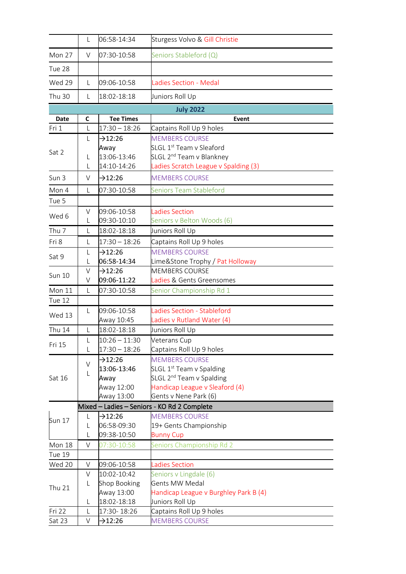|                  | L            | 06:58-14:34                        | Sturgess Volvo & Gill Christie                            |
|------------------|--------------|------------------------------------|-----------------------------------------------------------|
| Mon 27           | V            | 07:30-10:58                        | Seniors Stableford (Q)                                    |
| Tue 28           |              |                                    |                                                           |
| Wed 29           | L            | 09:06-10:58                        | <b>Ladies Section - Medal</b>                             |
| <b>Thu 30</b>    | L            | 18:02-18:18                        | Juniors Roll Up                                           |
|                  |              |                                    | <b>July 2022</b>                                          |
| <b>Date</b>      | C            | <b>Tee Times</b>                   | Event                                                     |
| Fri 1            | L            | $17:30 - 18:26$                    | Captains Roll Up 9 holes                                  |
|                  | L            | $\rightarrow$ 12:26                | <b>MEMBERS COURSE</b>                                     |
|                  |              | Away                               | SLGL 1st Team v Sleaford                                  |
| Sat 2            | L            | 13:06-13:46                        | SLGL 2 <sup>nd</sup> Team v Blankney                      |
|                  | L            | 14:10-14:26                        | Ladies Scratch League v Spalding (3)                      |
| Sun 3            | V            | $-12:26$                           | <b>MEMBERS COURSE</b>                                     |
| Mon 4            | L            | 07:30-10:58                        | <b>Seniors Team Stableford</b>                            |
| Tue 5            |              |                                    |                                                           |
|                  | V            | 09:06-10:58                        | <b>Ladies Section</b>                                     |
| Wed 6            | L            | 09:30-10:10                        | Seniors v Belton Woods (6)                                |
| Thu <sub>7</sub> | L            | 18:02-18:18                        | Juniors Roll Up                                           |
| Fri 8            | L            | $17:30 - 18:26$                    | Captains Roll Up 9 holes                                  |
|                  |              |                                    |                                                           |
| Sat 9            | L            | $\rightarrow$ 12:26<br>06:58-14:34 | <b>MEMBERS COURSE</b>                                     |
|                  | L<br>V       | $-12:26$                           | Lime&Stone Trophy / Pat Holloway<br><b>MEMBERS COURSE</b> |
| <b>Sun 10</b>    | V            | 09:06-11:22                        | Ladies & Gents Greensomes                                 |
| Mon 11           | L            | 07:30-10:58                        | Senior Championship Rd 1                                  |
| Tue 12           |              |                                    |                                                           |
|                  | $\mathsf{L}$ | 09:06-10:58                        | Ladies Section - Stableford                               |
| Wed 13           |              | Away 10:45                         | Ladies v Rutland Water (4)                                |
| <b>Thu 14</b>    | L            | 18:02-18:18                        | Juniors Roll Up                                           |
|                  | L            | $10:26 - 11:30$                    | Veterans Cup                                              |
| Fri 15           | L            | $17:30 - 18:26$                    | Captains Roll Up 9 holes                                  |
|                  |              | $-12:26$                           | <b>MEMBERS COURSE</b>                                     |
|                  | $\vee$       | 13:06-13:46                        | SLGL 1 <sup>st</sup> Team v Spalding                      |
| Sat 16           | L            | Away                               | SLGL 2 <sup>nd</sup> Team v Spalding                      |
|                  |              | Away 12:00                         | Handicap League v Sleaford (4)                            |
|                  |              | Away 13:00                         | Gents v Nene Park (6)                                     |
|                  |              |                                    | Mixed - Ladies - Seniors - KO Rd 2 Complete               |
|                  | L            | $-12:26$                           | <b>MEMBERS COURSE</b>                                     |
| Sun 17           | L            | 06:58-09:30                        | 19+ Gents Championship                                    |
|                  | L            | 09:38-10:50                        | <b>Bunny Cup</b>                                          |
| Mon 18           | V            | 07:30-10:58                        | Seniors Championship Rd 2                                 |
| <b>Tue 19</b>    |              |                                    |                                                           |
| Wed 20           | V            | 09:06-10:58                        | <b>Ladies Section</b>                                     |
|                  | V            | 10:02-10:42                        | Seniors v Lingdale (6)                                    |
|                  | L            | Shop Booking                       | <b>Gents MW Medal</b>                                     |
| <b>Thu 21</b>    |              | Away 13:00                         | Handicap League v Burghley Park B (4)                     |
|                  | L            | 18:02-18:18                        | Juniors Roll Up                                           |
| Fri 22           | L            | 17:30-18:26                        | Captains Roll Up 9 holes                                  |
| Sat 23           | V            | $\rightarrow$ 12:26                | <b>MEMBERS COURSE</b>                                     |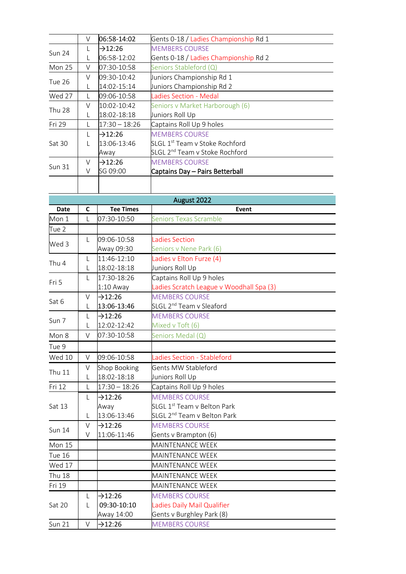|               | V      | 06:58-14:02         | Gents 0-18 / Ladies Championship Rd 1      |
|---------------|--------|---------------------|--------------------------------------------|
| <b>Sun 24</b> | L      | $\rightarrow$ 12:26 | <b>MEMBERS COURSE</b>                      |
|               | L      | 06:58-12:02         | Gents 0-18 / Ladies Championship Rd 2      |
| <b>Mon 25</b> | V      | 07:30-10:58         | Seniors Stableford (Q)                     |
| <b>Tue 26</b> | V      | 09:30-10:42         | Juniors Championship Rd 1                  |
|               |        | 14:02-15:14         | Juniors Championship Rd 2                  |
| Wed 27        |        | 09:06-10:58         | Ladies Section - Medal                     |
| <b>Thu 28</b> | V      | 10:02-10:42         | Seniors v Market Harborough (6)            |
|               | L      | 18:02-18:18         | Juniors Roll Up                            |
| Fri 29        | L      | $17:30 - 18:26$     | Captains Roll Up 9 holes                   |
|               | L      | $\rightarrow$ 12:26 | <b>MEMBERS COURSE</b>                      |
| Sat 30        | L      | 13:06-13:46         | <b>SLGL 1st Team v Stoke Rochford</b>      |
|               |        | Away                | SLGL 2 <sup>nd</sup> Team v Stoke Rochford |
| <b>Sun 31</b> | $\vee$ | $\rightarrow$ 12:26 | <b>MEMBERS COURSE</b>                      |
|               | $\vee$ | SG 09:00            | Captains Day - Pairs Betterball            |
|               |        |                     |                                            |
|               |        |                     |                                            |

| August 2022   |        |                  |                                          |
|---------------|--------|------------------|------------------------------------------|
| <b>Date</b>   | C      | <b>Tee Times</b> | Event                                    |
| Mon 1         | L      | 07:30-10:50      | <b>Seniors Texas Scramble</b>            |
| Tue 2         |        |                  |                                          |
|               | L      | 09:06-10:58      | <b>Ladies Section</b>                    |
| Wed 3         |        | Away 09:30       | Seniors v Nene Park (6)                  |
| Thu 4         | L      | 11:46-12:10      | Ladies v Elton Furze (4)                 |
|               | L      | 18:02-18:18      | Juniors Roll Up                          |
| Fri 5         | L      | 17:30-18:26      | Captains Roll Up 9 holes                 |
|               |        | $1:10$ Away      | Ladies Scratch League v Woodhall Spa (3) |
| Sat 6         | $\vee$ | $-12:26$         | <b>MEMBERS COURSE</b>                    |
|               | L      | 13:06-13:46      | SLGL 2 <sup>nd</sup> Team v Sleaford     |
| Sun 7         | L      | $-312:26$        | <b>MEMBERS COURSE</b>                    |
|               | L      | 12:02-12:42      | Mixed v Toft (6)                         |
| Mon 8         | $\vee$ | 07:30-10:58      | Seniors Medal (Q)                        |
| Tue 9         |        |                  |                                          |
| <b>Wed 10</b> | $\vee$ | 09:06-10:58      | Ladies Section - Stableford              |
| <b>Thu 11</b> | $\vee$ | Shop Booking     | Gents MW Stableford                      |
|               | L      | 18:02-18:18      | Juniors Roll Up                          |
| Fri 12        | L      | $17:30 - 18:26$  | Captains Roll Up 9 holes                 |
|               | L      | $-212:26$        | <b>MEMBERS COURSE</b>                    |
| Sat 13        |        | Away             | SLGL 1st Team v Belton Park              |
|               | L      | 13:06-13:46      | SLGL 2 <sup>nd</sup> Team v Belton Park  |
|               | V      | $-212:26$        | <b>MEMBERS COURSE</b>                    |
| <b>Sun 14</b> | V      | 11:06-11:46      | Gents v Brampton (6)                     |
| <b>Mon 15</b> |        |                  | MAINTENANCE WEEK                         |
| <b>Tue 16</b> |        |                  | <b>MAINTENANCE WEEK</b>                  |
| Wed 17        |        |                  | MAINTENANCE WEEK                         |
| <b>Thu 18</b> |        |                  | MAINTENANCE WEEK                         |
| Fri 19        |        |                  | MAINTENANCE WEEK                         |
|               | L      | $-212:26$        | <b>MEMBERS COURSE</b>                    |
| Sat 20        | L      | 09:30-10:10      | Ladies Daily Mail Qualifier              |
|               |        | Away 14:00       | Gents v Burghley Park (8)                |
| <b>Sun 21</b> | $\vee$ | $-312:26$        | <b>MEMBERS COURSE</b>                    |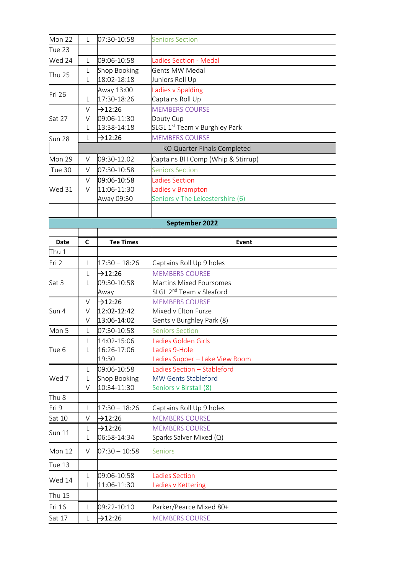| Mon 22           | L      | 07:30-10:58                 | <b>Seniors Section</b>                                    |
|------------------|--------|-----------------------------|-----------------------------------------------------------|
| Tue 23           |        |                             |                                                           |
| Wed 24           | L      | 09:06-10:58                 | <b>Ladies Section - Medal</b>                             |
|                  | L      | Shop Booking                | Gents MW Medal                                            |
| <b>Thu 25</b>    | L      | 18:02-18:18                 | Juniors Roll Up                                           |
| Fri 26           |        | Away 13:00                  | Ladies v Spalding                                         |
|                  | L      | 17:30-18:26                 | Captains Roll Up                                          |
|                  | V      | $-312:26$                   | <b>MEMBERS COURSE</b>                                     |
| Sat 27           | V      | 09:06-11:30                 | Douty Cup                                                 |
|                  | L      | 13:38-14:18                 | SLGL 1 <sup>st</sup> Team v Burghley Park                 |
| <b>Sun 28</b>    | L      | $-312:26$                   | <b>MEMBERS COURSE</b>                                     |
|                  |        |                             | KO Quarter Finals Completed                               |
| Mon 29           | V      | 09:30-12.02                 | Captains BH Comp (Whip & Stirrup)                         |
| Tue 30           | V      | 07:30-10:58                 | <b>Seniors Section</b>                                    |
|                  | V      | 09:06-10:58                 | <b>Ladies Section</b>                                     |
| Wed 31           | V      | 11:06-11:30                 | Ladies v Brampton                                         |
|                  |        | Away 09:30                  | Seniors v The Leicestershire (6)                          |
|                  |        |                             |                                                           |
|                  |        |                             | September 2022                                            |
|                  |        |                             |                                                           |
| Date             | C      | <b>Tee Times</b>            | Event                                                     |
| Thu 1            |        |                             |                                                           |
| Fri 2            | L      | $17:30 - 18:26$             | Captains Roll Up 9 holes                                  |
|                  | L      | $-312:26$                   | <b>MEMBERS COURSE</b>                                     |
| Sat 3            | L      | 09:30-10:58                 | <b>Martins Mixed Foursomes</b>                            |
|                  |        | Away                        | SLGL 2 <sup>nd</sup> Team v Sleaford                      |
|                  | V      | $\rightarrow$ 12:26         | <b>MEMBERS COURSE</b>                                     |
| Sun 4            | V      | 12:02-12:42                 | Mixed v Elton Furze                                       |
|                  | V      | 13:06-14:02                 | Gents v Burghley Park (8)                                 |
| Mon 5            | L      | 07:30-10:58                 | <b>Seniors Section</b>                                    |
|                  | L      | 14:02-15:06                 | Ladies Golden Girls                                       |
| Tue 6            | L      | 16:26-17:06                 | Ladies 9-Hole                                             |
|                  |        | 19:30                       | Ladies Supper - Lake View Room                            |
| Wed 7            | L<br>L | 09:06-10:58<br>Shop Booking | Ladies Section - Stableford<br><b>MW Gents Stableford</b> |
|                  | V      | 10:34-11:30                 | Seniors v Birstall (8)                                    |
| Thu <sub>8</sub> |        |                             |                                                           |
| Fri 9            | L      | $17:30 - 18:26$             | Captains Roll Up 9 holes                                  |
| Sat 10           | V      | $-12:26$                    | <b>MEMBERS COURSE</b>                                     |
|                  | L      | $-12:26$                    | <b>MEMBERS COURSE</b>                                     |
| <b>Sun 11</b>    | L      | 06:58-14:34                 | Sparks Salver Mixed (Q)                                   |
| Mon 12           | V      | $07:30 - 10:58$             | <b>Seniors</b>                                            |
| Tue 13           |        |                             |                                                           |
|                  | L      | 09:06-10:58                 | <b>Ladies Section</b>                                     |
| Wed 14           | L      | 11:06-11:30                 | Ladies v Kettering                                        |
| <b>Thu 15</b>    |        |                             |                                                           |
| Fri 16           | L      | 09:22-10:10                 | Parker/Pearce Mixed 80+                                   |
| Sat 17           | L      | $-12:26$                    | <b>MEMBERS COURSE</b>                                     |
|                  |        |                             |                                                           |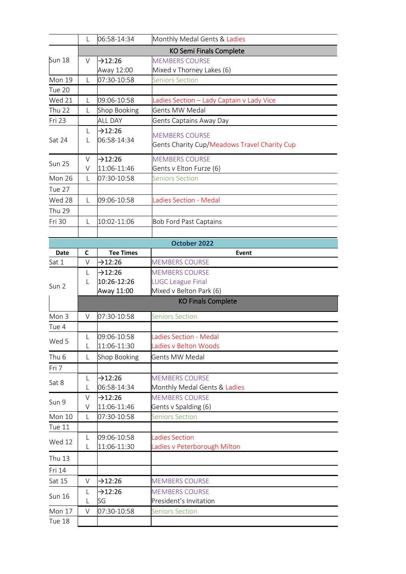|                  | L      | 06:58-14:34                        | Monthly Medal Gents & Ladies                      |
|------------------|--------|------------------------------------|---------------------------------------------------|
|                  |        |                                    | <b>KO Semi Finals Complete</b>                    |
| <b>Sun 18</b>    | V      | $-12:26$                           | <b>MEMBERS COURSE</b>                             |
|                  |        | Away 12:00                         | Mixed v Thorney Lakes (6)                         |
| Mon 19           | L      | 07:30-10:58                        | <b>Seniors Section</b>                            |
| Tue 20           |        |                                    |                                                   |
| Wed 21           | L      | 09:06-10:58                        | Ladies Section – Lady Captain v Lady Vice         |
| <b>Thu 22</b>    | L      | Shop Booking                       | Gents MW Medal                                    |
| Fri 23           |        | <b>ALL DAY</b>                     | Gents Captains Away Day                           |
|                  | L      | $-12:26$                           | <b>MEMBERS COURSE</b>                             |
| Sat 24           | L      | 06:58-14:34                        | Gents Charity Cup/Meadows Travel Charity Cup      |
|                  |        |                                    |                                                   |
| <b>Sun 25</b>    | $\vee$ | $-12:26$                           | <b>MEMBERS COURSE</b><br>Gents v Elton Furze (6)  |
|                  | V      | 11:06-11:46                        | <b>Seniors Section</b>                            |
| Mon 26           | L      | 07:30-10:58                        |                                                   |
| Tue 27           |        |                                    |                                                   |
| Wed 28           | L      | 09:06-10:58                        | Ladies Section - Medal                            |
| <b>Thu 29</b>    |        |                                    |                                                   |
| Fri 30           | L      | 10:02-11:06                        | <b>Bob Ford Past Captains</b>                     |
|                  |        |                                    |                                                   |
|                  |        |                                    | October 2022                                      |
| Date             | C      | <b>Tee Times</b>                   | Event                                             |
| Sat 1            | V      | $-12:26$                           | <b>MEMBERS COURSE</b>                             |
|                  | L      | $-12:26$<br>10:26-12:26            | <b>MEMBERS COURSE</b><br><b>LUGC League Final</b> |
| Sun 2            | L      | Away 11:00                         | Mixed v Belton Park (6)                           |
|                  |        |                                    | <b>KO Finals Complete</b>                         |
|                  |        |                                    |                                                   |
| Mon 3            | V      | 07:30-10:58                        | <b>Seniors Section</b>                            |
| Tue 4            |        |                                    |                                                   |
| Wed 5            |        | 09:06-10:58                        | Ladies Section - Medal                            |
|                  | L      | 11:06-11:30                        | Ladies v Belton Woods                             |
| Thu <sub>6</sub> | L      | Shop Booking                       | <b>Gents MW Medal</b>                             |
| Fri 7            |        |                                    |                                                   |
| Sat 8            | L      | $-12:26$                           | <b>MEMBERS COURSE</b>                             |
|                  | L      | 06:58-14:34                        | Monthly Medal Gents & Ladies                      |
| Sun 9            | V<br>V | $\rightarrow$ 12:26<br>11:06-11:46 | <b>MEMBERS COURSE</b><br>Gents v Spalding (6)     |
| Mon 10           | L      | 07:30-10:58                        | <b>Seniors Section</b>                            |
| Tue 11           |        |                                    |                                                   |
|                  | L      | 09:06-10:58                        | <b>Ladies Section</b>                             |
| Wed 12           | L      | 11:06-11:30                        | Ladies v Peterborough Milton                      |
| <b>Thu 13</b>    |        |                                    |                                                   |
|                  |        |                                    |                                                   |
| Fri 14           |        |                                    |                                                   |
| Sat 15           | V      | $-12:26$                           | <b>MEMBERS COURSE</b>                             |
| <b>Sun 16</b>    | L      | $-12:26$                           | <b>MEMBERS COURSE</b>                             |
|                  | L      | SG                                 | President's Invitation                            |
| Mon 17           | V      | 07:30-10:58                        | <b>Seniors Section</b>                            |
| Tue 18           |        |                                    |                                                   |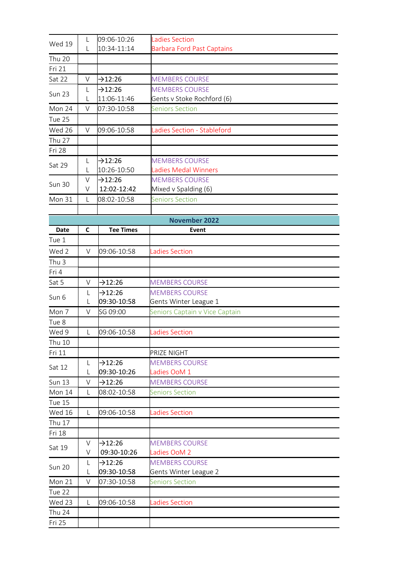| Wed 19           | L           | 09:06-10:26             | <b>Ladies Section</b>             |
|------------------|-------------|-------------------------|-----------------------------------|
|                  | L           | 10:34-11:14             | <b>Barbara Ford Past Captains</b> |
| <b>Thu 20</b>    |             |                         |                                   |
| Fri 21           |             |                         |                                   |
| Sat 22           | $\vee$      | $-12:26$                | <b>MEMBERS COURSE</b>             |
|                  | L           | $-12:26$                | <b>MEMBERS COURSE</b>             |
| <b>Sun 23</b>    | L           | 11:06-11:46             | Gents v Stoke Rochford (6)        |
| Mon 24           | $\vee$      | 07:30-10:58             | <b>Seniors Section</b>            |
| Tue 25           |             |                         |                                   |
| Wed 26           | V           | 09:06-10:58             | Ladies Section - Stableford       |
| <b>Thu 27</b>    |             |                         |                                   |
| Fri 28           |             |                         |                                   |
|                  | L           | $-12:26$                | <b>MEMBERS COURSE</b>             |
| Sat 29           | L           | 10:26-10:50             | Ladies Medal Winners              |
|                  | V           | $-12:26$                | <b>MEMBERS COURSE</b>             |
| <b>Sun 30</b>    | V           | 12:02-12:42             | Mixed v Spalding (6)              |
| Mon 31           | L           | 08:02-10:58             | <b>Seniors Section</b>            |
|                  |             |                         |                                   |
|                  |             |                         | <b>November 2022</b>              |
| Date             | C           | <b>Tee Times</b>        | Event                             |
| Tue 1            |             |                         |                                   |
| Wed 2            | V           | 09:06-10:58             | adies Section                     |
|                  |             |                         |                                   |
| Thu <sub>3</sub> |             |                         |                                   |
| Fri 4            |             |                         |                                   |
| Sat 5            | $\vee$      | $-12:26$                | <b>MEMBERS COURSE</b>             |
| Sun 6            | L           | $-12:26$<br>09:30-10:58 | <b>MEMBERS COURSE</b>             |
|                  | L<br>$\vee$ |                         | Gents Winter League 1             |
| Mon 7            |             | SG 09:00                | Seniors Captain v Vice Captain    |
| Tue 8            |             |                         |                                   |
| Wed 9            | L           | 09:06-10:58             | <b>Ladies Section</b>             |
| Thu 10           |             |                         |                                   |
| Fri 11           |             |                         | PRIZE NIGHT                       |
| Sat 12           | L           | $-12:26$                | <b>MEMBERS COURSE</b>             |
|                  | L           | 09:30-10:26             | Ladies OoM 1                      |
| <b>Sun 13</b>    | $\vee$      | $\rightarrow$ 12:26     | <b>MEMBERS COURSE</b>             |
| Mon 14           | L           | 08:02-10:58             | <b>Seniors Section</b>            |
| Tue 15           |             |                         |                                   |
| <b>Wed 16</b>    | L           | 09:06-10:58             | <b>Ladies Section</b>             |
| <b>Thu 17</b>    |             |                         |                                   |
| Fri 18           |             |                         |                                   |
| Sat 19           | $\vee$      | $-12:26$                | <b>MEMBERS COURSE</b>             |
|                  | V           | 09:30-10:26             | Ladies OoM 2                      |
| <b>Sun 20</b>    | L           | $-212:26$               | <b>MEMBERS COURSE</b>             |
|                  | L           | 09:30-10:58             | Gents Winter League 2             |
| Mon 21           | $\vee$      | 07:30-10:58             | <b>Seniors Section</b>            |
| Tue 22           |             |                         |                                   |
| Wed 23           | L           | 09:06-10:58             | Ladies Section                    |
| <b>Thu 24</b>    |             |                         |                                   |
| Fri 25           |             |                         |                                   |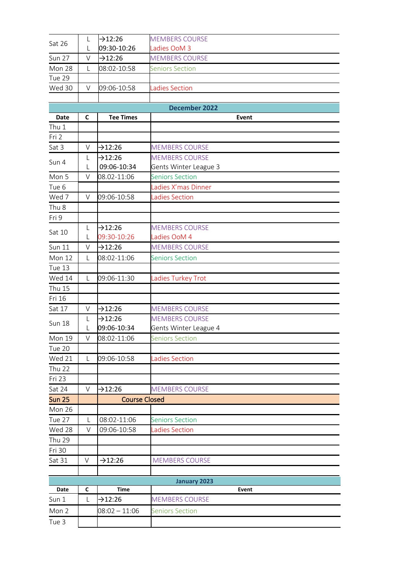| Sat 26           | L            | $-12:26$             | <b>MEMBERS COURSE</b>  |
|------------------|--------------|----------------------|------------------------|
|                  | L            | 09:30-10:26          | Ladies OoM 3           |
| <b>Sun 27</b>    | V            | $-12:26$             | <b>MEMBERS COURSE</b>  |
| Mon 28           | L            | 08:02-10:58          | <b>Seniors Section</b> |
| Tue 29           |              |                      |                        |
| Wed 30           | V            | 09:06-10:58          | Ladies Section         |
|                  |              |                      |                        |
|                  |              |                      | <b>December 2022</b>   |
| <b>Date</b>      | $\mathsf{C}$ | <b>Tee Times</b>     | Event                  |
| Thu 1            |              |                      |                        |
| Fri 2            |              |                      |                        |
| Sat 3            | $\vee$       | $-12:26$             | <b>MEMBERS COURSE</b>  |
| Sun 4            | L            | $-12:26$             | <b>MEMBERS COURSE</b>  |
|                  | L            | 09:06-10:34          | Gents Winter League 3  |
| Mon 5            | V            | 08.02-11:06          | <b>Seniors Section</b> |
| Tue 6            |              |                      | Ladies X'mas Dinner    |
| Wed 7            | V            | 09:06-10:58          | Ladies Section         |
| Thu <sub>8</sub> |              |                      |                        |
| Fri 9            |              |                      |                        |
| Sat 10           | L            | $\rightarrow$ 12:26  | <b>MEMBERS COURSE</b>  |
|                  | L            | 09:30-10:26          | Ladies OoM 4           |
| <b>Sun 11</b>    | $\vee$       | $-12:26$             | <b>MEMBERS COURSE</b>  |
| Mon 12           | L            | 08:02-11:06          | <b>Seniors Section</b> |
| Tue 13           |              |                      |                        |
| Wed 14           | L            | 09:06-11:30          | Ladies Turkey Trot     |
| <b>Thu 15</b>    |              |                      |                        |
| Fri 16           |              |                      |                        |
| Sat 17           | V            | $-12:26$             | <b>MEMBERS COURSE</b>  |
|                  | L            | $-12:26$             | <b>MEMBERS COURSE</b>  |
| <b>Sun 18</b>    | L            | 09:06-10:34          | Gents Winter League 4  |
| Mon 19           | V            | 08:02-11:06          | <b>Seniors Section</b> |
| Tue 20           |              |                      |                        |
| Wed 21           | L            | 09:06-10:58          | <b>Ladies Section</b>  |
| <b>Thu 22</b>    |              |                      |                        |
| Fri 23           |              |                      |                        |
| Sat 24           | $\vee$       | $-12:26$             | <b>MEMBERS COURSE</b>  |
| <b>Sun 25</b>    |              | <b>Course Closed</b> |                        |
| Mon 26           |              |                      |                        |
| Tue 27           | L            | 08:02-11:06          | <b>Seniors Section</b> |
| Wed 28           | $\vee$       | 09:06-10:58          | Ladies Section         |
| <b>Thu 29</b>    |              |                      |                        |
| Fri 30           |              |                      |                        |
|                  |              |                      |                        |
| Sat 31           | V            | $\rightarrow$ 12:26  | <b>MEMBERS COURSE</b>  |
|                  |              |                      |                        |
|                  |              |                      | <b>January 2023</b>    |
| Date             | C            | Time                 | Event                  |
| Sun 1            | L            | $-12:26$             | <b>MEMBERS COURSE</b>  |
| Mon 2            |              | $08:02 - 11:06$      | <b>Seniors Section</b> |
| Tue 3            |              |                      |                        |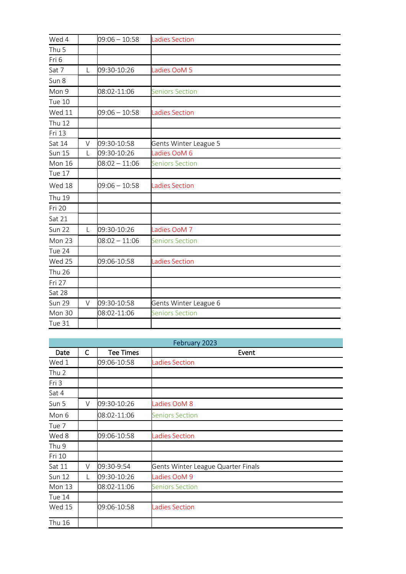| Wed 4         |   | $09:06 - 10:58$ | <b>Ladies Section</b>  |
|---------------|---|-----------------|------------------------|
| Thu 5         |   |                 |                        |
| Fri 6         |   |                 |                        |
| Sat 7         | L | 09:30-10:26     | Ladies OoM 5           |
| Sun 8         |   |                 |                        |
| Mon 9         |   | 08:02-11:06     | <b>Seniors Section</b> |
| Tue 10        |   |                 |                        |
| Wed 11        |   | $09:06 - 10:58$ | <b>Ladies Section</b>  |
| <b>Thu 12</b> |   |                 |                        |
| Fri 13        |   |                 |                        |
| Sat 14        | V | 09:30-10:58     | Gents Winter League 5  |
| <b>Sun 15</b> | L | 09:30-10:26     | Ladies OoM 6           |
| Mon 16        |   | $08:02 - 11:06$ | <b>Seniors Section</b> |
| Tue 17        |   |                 |                        |
| Wed 18        |   | $09:06 - 10:58$ | <b>Ladies Section</b>  |
| <b>Thu 19</b> |   |                 |                        |
| Fri 20        |   |                 |                        |
| Sat 21        |   |                 |                        |
| Sun 22        | L | 09:30-10:26     | Ladies OoM 7           |
| Mon 23        |   | $08:02 - 11:06$ | <b>Seniors Section</b> |
| Tue 24        |   |                 |                        |
| Wed 25        |   | 09:06-10:58     | <b>Ladies Section</b>  |
| <b>Thu 26</b> |   |                 |                        |
| Fri 27        |   |                 |                        |
| Sat 28        |   |                 |                        |
| <b>Sun 29</b> | V | 09:30-10:58     | Gents Winter League 6  |
| Mon 30        |   | 08:02-11:06     | <b>Seniors Section</b> |
| Tue 31        |   |                 |                        |

|               |              |                  | February 2023                      |
|---------------|--------------|------------------|------------------------------------|
| Date          | $\mathsf{C}$ | <b>Tee Times</b> | Event                              |
| Wed 1         |              | 09:06-10:58      | Ladies Section                     |
| Thu 2         |              |                  |                                    |
| Fri 3         |              |                  |                                    |
| Sat 4         |              |                  |                                    |
| Sun 5         | V            | 09:30-10:26      | Ladies OoM 8                       |
| Mon 6         |              | 08:02-11:06      | <b>Seniors Section</b>             |
| Tue 7         |              |                  |                                    |
| Wed 8         |              | 09:06-10:58      | <b>Ladies Section</b>              |
| Thu 9         |              |                  |                                    |
| Fri 10        |              |                  |                                    |
| Sat 11        | V            | 09:30-9:54       | Gents Winter League Quarter Finals |
| <b>Sun 12</b> | L            | 09:30-10:26      | Ladies OoM 9                       |
| Mon 13        |              | 08:02-11:06      | <b>Seniors Section</b>             |
| Tue 14        |              |                  |                                    |
| <b>Wed 15</b> |              | 09:06-10:58      | <b>Ladies Section</b>              |
| Thu 16        |              |                  |                                    |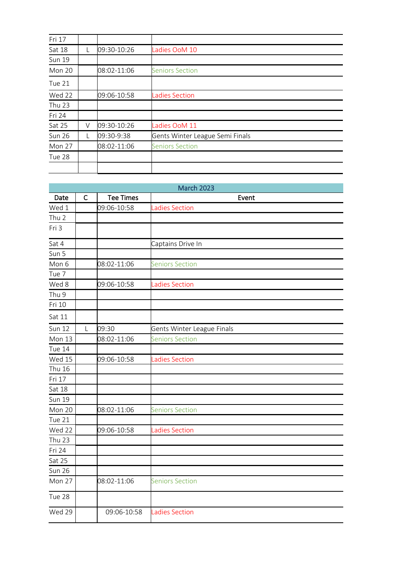| Fri 17        |   |             |                                 |
|---------------|---|-------------|---------------------------------|
| Sat 18        |   | 09:30-10:26 | Ladies OoM 10                   |
| <b>Sun 19</b> |   |             |                                 |
| <b>Mon 20</b> |   | 08:02-11:06 | <b>Seniors Section</b>          |
| Tue 21        |   |             |                                 |
| Wed 22        |   | 09:06-10:58 | <b>Ladies Section</b>           |
| <b>Thu 23</b> |   |             |                                 |
| Fri 24        |   |             |                                 |
| Sat 25        | V | 09:30-10:26 | Ladies OoM 11                   |
| <b>Sun 26</b> |   | 09:30-9:38  | Gents Winter League Semi Finals |
| Mon 27        |   | 08:02-11:06 | <b>Seniors Section</b>          |
| Tue 28        |   |             |                                 |
|               |   |             |                                 |

|                      |              |                  | <b>March 2023</b>          |
|----------------------|--------------|------------------|----------------------------|
| Date                 | $\mathsf{C}$ | <b>Tee Times</b> | Event                      |
| Wed 1                |              | 09:06-10:58      | Ladies Section             |
| Thu <sub>2</sub>     |              |                  |                            |
| Fri 3                |              |                  |                            |
| Sat 4                |              |                  | Captains Drive In          |
| Sun 5                |              |                  |                            |
| Mon 6                |              | 08:02-11:06      | <b>Seniors Section</b>     |
| Tue 7                |              |                  |                            |
| Wed 8                |              | 09:06-10:58      | Ladies Section             |
| Thu 9                |              |                  |                            |
| Fri 10               |              |                  |                            |
| Sat 11               |              |                  |                            |
| <b>Sun 12</b>        | L            | 09:30            | Gents Winter League Finals |
| Mon 13               |              | 08:02-11:06      | <b>Seniors Section</b>     |
| Tue 14               |              |                  |                            |
| $\overline{W}$ ed 15 |              | 09:06-10:58      | <b>Ladies Section</b>      |
| <b>Thu 16</b>        |              |                  |                            |
| Fri 17               |              |                  |                            |
| Sat 18               |              |                  |                            |
| <b>Sun 19</b>        |              |                  |                            |
| Mon 20               |              | 08:02-11:06      | <b>Seniors Section</b>     |
| Tue 21               |              |                  |                            |
| Wed 22               |              | 09:06-10:58      | <b>Ladies Section</b>      |
| <b>Thu 23</b>        |              |                  |                            |
| Fri 24               |              |                  |                            |
| Sat 25               |              |                  |                            |
| Sun 26               |              |                  |                            |
| Mon 27               |              | 08:02-11:06      | <b>Seniors Section</b>     |
| Tue 28               |              |                  |                            |
| Wed 29               |              | 09:06-10:58      | <b>Ladies Section</b>      |